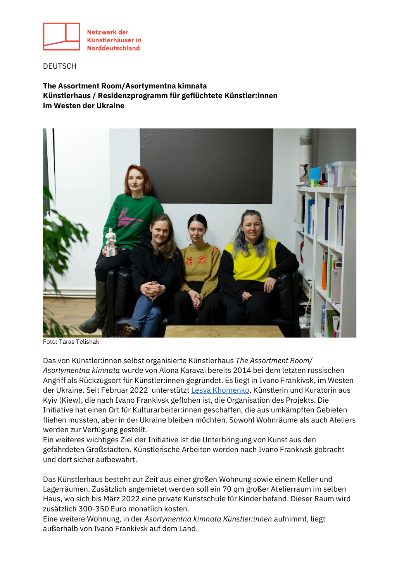

DEUTSCH

## **The Assortment Room/Asortymentna kimnata Künstlerhaus / Residenzprogramm für geflüchtete Künstler:innen im Westen der Ukraine**



Foto: Taras Telishak

Das von Künstler:innen selbst organisierte Künstlerhaus *The Assortment Room/ Asortymentna kimnata* wurde von Alona Karavai bereits 2014 bei dem letzten russischen Angriff als Rückzugsort für Künstler:innen gegründet. Es liegt in Ivano Frankivsk, im Westen der Ukraine. Seit Februar 2022 unterstützt [Lesya Khomenko,](https://www.lesiakhomenko.com/) Künstlerin und Kuratorin aus Kyiv (Kiew), die nach Ivano Frankivsk geflohen ist, die Organisation des Projekts. Die Initiative hat einen Ort für Kulturarbeiter:innen geschaffen, die aus umkämpften Gebieten fliehen mussten, aber in der Ukraine bleiben möchten. Sowohl Wohnräume als auch Ateliers werden zur Verfügung gestellt.

Ein weiteres wichtiges Ziel der Initiative ist die Unterbringung von Kunst aus den gefährdeten Großstädten. Künstlerische Arbeiten werden nach Ivano Frankivsk gebracht und dort sicher aufbewahrt.

Das Künstlerhaus besteht zur Zeit aus einer großen Wohnung sowie einem Keller und Lagerräumen. Zusätzlich angemietet werden soll ein 70 qm großer Atelierraum im selben Haus, wo sich bis März 2022 eine private Kunstschule für Kinder befand. Dieser Raum wird zusätzlich 300-350 Euro monatlich kosten.

Eine weitere Wohnung, in der *Asortymentna kimnata Künstler:innen* aufnimmt, liegt außerhalb von Ivano Frankivsk auf dem Land.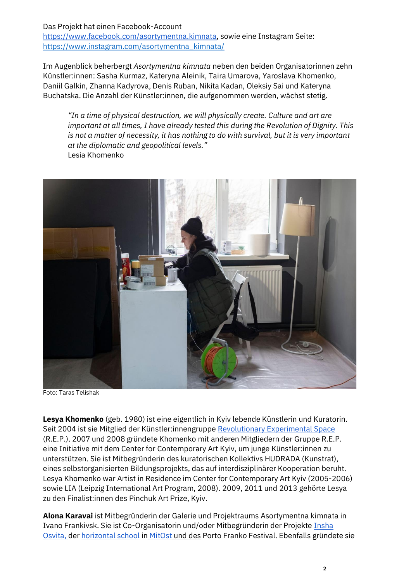Das Projekt hat einen Facebook-Account [https://www.facebook.com/asortymentna.kimnata,](https://www.facebook.com/asortymentna.kimnata) sowie eine Instagram Seite: [https://www.instagram.com/asortymentna\\_kimnata/](https://www.instagram.com/asortymentna_kimnata/)

Im Augenblick beherbergt *Asortymentna kimnata* neben den beiden Organisatorinnen zehn Künstler:innen: Sasha Kurmaz, Kateryna Aleinik, Taira Umarova, Yaroslava Khomenko, Daniil Galkin, Zhanna Kadyrova, Denis Ruban, Nikita Kadan, Oleksiy Sai und Kateryna Buchatska. Die Anzahl der Künstler:innen, die aufgenommen werden, wächst stetig.

*"In a time of physical destruction, we will physically create. Culture and art are important at all times, I have already tested this during the Revolution of Dignity. This is not a matter of necessity, it has nothing to do with survival, but it is very important at the diplomatic and geopolitical levels."* Lesia Khomenko



Foto: Taras Telishak

**Lesya Khomenko** (geb. 1980) ist eine eigentlich in Kyiv lebende Künstlerin und Kuratorin. Seit 2004 ist sie Mitglied der Künstler:innengruppe [Revolutionary Experimental Space](https://www.thegreenbox.net/en/artists/revolutionary-experimental-space) (R.E.P.). 2007 und 2008 gründete Khomenko mit anderen Mitgliedern der Gruppe R.E.P. eine Initiative mit dem Center for Contemporary Art Kyiv, um junge Künstler:innen zu unterstützen. Sie ist Mitbegründerin des kuratorischen Kollektivs HUDRADA (Kunstrat), eines selbstorganisierten Bildungsprojekts, das auf interdisziplinärer Kooperation beruht. Lesya Khomenko war Artist in Residence im Center for Contemporary Art Kyiv (2005-2006) sowie LIA (Leipzig International Art Program, 2008). 2009, 2011 und 2013 gehörte Lesya zu den Finalist:innen des Pinchuk Art Prize, Kyiv.

**Alona Karavai** ist Mitbegründerin der Galerie und Projektraums Asortymentna kimnata in Ivano Frankivsk. Sie ist Co-Organisatorin und/oder Mitbegründerin der Projekte Insha [Osvita, d](http://insha-osvita.org/)er [horizontal school](https://www.facebook.com/horizontalschool/) in MitOst [und des](http://mitost.org/) Porto Franko Festival. Ebenfalls gründete sie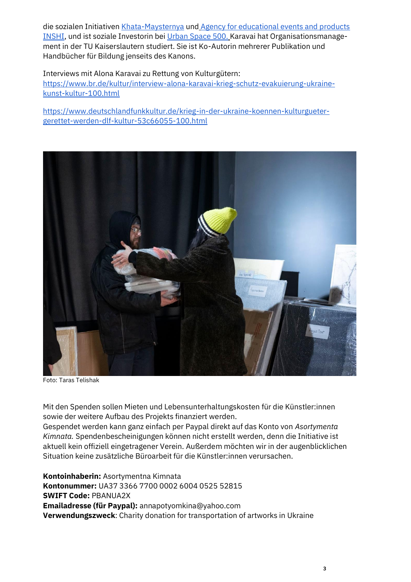die sozialen Initiativen [Khata-Maysternya](http://mitost.org/) und [Agency for educational events and products](https://www.facebook.com/inshi.in.ua/)  [INSHI,](https://www.facebook.com/inshi.in.ua/) und ist soziale Investorin bei [Urban Space 500.](http://urbanspace500.com.ua/uk) Karavai hat Organisationsmanagement in der TU Kaiserslautern studiert. Sie ist Ko-Autorin mehrerer Publikation und Handbücher für Bildung jenseits des Kanons.

Interviews mit Alona Karavai zu Rettung von Kulturgütern: [https://www.br.de/kultur/interview-alona-karavai-krieg-schutz-evakuierung-ukraine](https://www.br.de/kultur/interview-alona-karavai-krieg-schutz-evakuierung-ukraine-kunst-kultur-100.html)[kunst-kultur-100.html](https://www.br.de/kultur/interview-alona-karavai-krieg-schutz-evakuierung-ukraine-kunst-kultur-100.html)

[https://www.deutschlandfunkkultur.de/krieg-in-der-ukraine-koennen-kulturgueter](https://www.deutschlandfunkkultur.de/krieg-in-der-ukraine-koennen-kulturgueter-gerettet-werden-dlf-kultur-53c66055-100.html)[gerettet-werden-dlf-kultur-53c66055-100.html](https://www.deutschlandfunkkultur.de/krieg-in-der-ukraine-koennen-kulturgueter-gerettet-werden-dlf-kultur-53c66055-100.html)



Foto: Taras Telishak

Mit den Spenden sollen Mieten und Lebensunterhaltungskosten für die Künstler:innen sowie der weitere Aufbau des Projekts finanziert werden. Gespendet werden kann ganz einfach per Paypal direkt auf das Konto von *Asortymenta Kimnata.* Spendenbescheinigungen können nicht erstellt werden, denn die Initiative ist aktuell kein offiziell eingetragener Verein. Außerdem möchten wir in der augenblicklichen Situation keine zusätzliche Büroarbeit für die Künstler:innen verursachen.

**Kontoinhaberin:** Asortymentna Kimnata **Kontonummer:** UA37 3366 7700 0002 6004 0525 52815 **SWIFT Code:** PBANUA2X **Emailadresse (für Paypal):** annapotyomkina@yahoo.com **Verwendungszweck**: Charity donation for transportation of artworks in Ukraine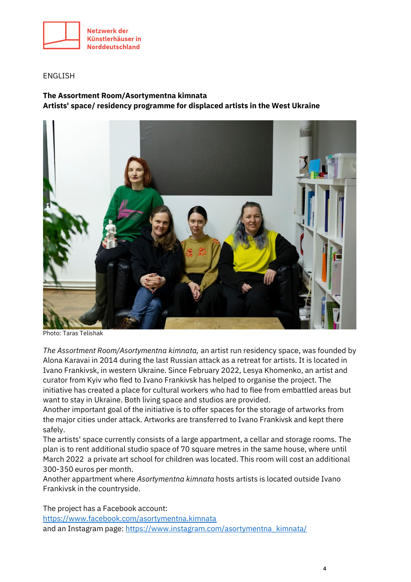

ENGLISH

## **The Assortment Room/Asortymentna kimnata**

## **Artists' space/ residency programme for displaced artists in the West Ukraine**



Photo: Taras Telishak

*The Assortment Room/Asortymentna kimnata,* an artist run residency space, was founded by Alona Karavai in 2014 during the last Russian attack as a retreat for artists. It is located in Ivano Frankivsk, in western Ukraine. Since February 2022, Lesya Khomenko, an artist and curator from Kyiv who fled to Ivano Frankivsk has helped to organise the project. The initiative has created a place for cultural workers who had to flee from embattled areas but want to stay in Ukraine. Both living space and studios are provided.

Another important goal of the initiative is to offer spaces for the storage of artworks from the major cities under attack. Artworks are transferred to Ivano Frankivsk and kept there safely.

The artists' space currently consists of a large appartment, a cellar and storage rooms. The plan is to rent additional studio space of 70 square metres in the same house, where until March 2022 a private art school for children was located. This room will cost an additional 300-350 euros per month.

Another appartment where *Asortymentna kimnata* hosts artists is located outside Ivano Frankivsk in the countryside.

The project has a Facebook account:

<https://www.facebook.com/asortymentna.kimnata> and an Instagram page[: https://www.instagram.com/asortymentna\\_kimnata/](https://www.instagram.com/asortymentna_kimnata/)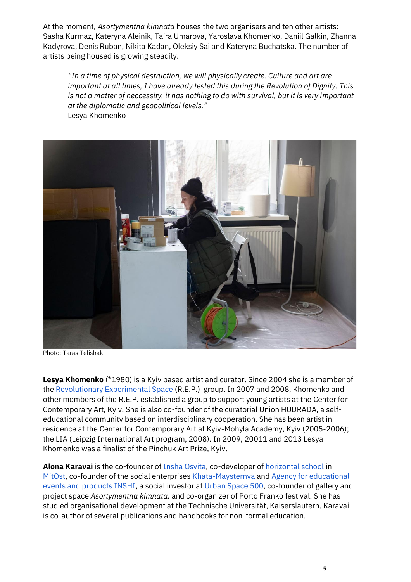At the moment, *Asortymentna kimnata* houses the two organisers and ten other artists: Sasha Kurmaz, Kateryna Aleinik, Taira Umarova, Yaroslava Khomenko, Daniil Galkin, Zhanna Kadyrova, Denis Ruban, Nikita Kadan, Oleksiy Sai and Kateryna Buchatska. The number of artists being housed is growing steadily.

*"In a time of physical destruction, we will physically create. Culture and art are important at all times, I have already tested this during the Revolution of Dignity. This is not a matter of neccessity, it has nothing to do with survival, but it is very important at the diplomatic and geopolitical levels."* Lesya Khomenko



Photo: Taras Telishak

**Lesya Khomenko** (\*1980) is a Kyiv based artist and curator. Since 2004 she is a member of the [Revolutionary Experimental Space](https://www.thegreenbox.net/en/artists/revolutionary-experimental-space) (R.E.P.) group. In 2007 and 2008, Khomenko and other members of the R.E.P. established a group to support young artists at the Center for Contemporary Art, Kyiv. She is also co-founder of the curatorial Union HUDRADA, a selfeducational community based on interdisciplinary cooperation. She has been artist in residence at the Center for Contemporary Art at Kyiv-Mohyla Academy, Kyiv (2005-2006); the LIA (Leipzig International Art program, 2008). In 2009, 20011 and 2013 Lesya Khomenko was a finalist of the Pinchuk Art Prize, Kyiv.

**Alona Karavai** is the co-founder of [Insha Osvita,](http://insha-osvita.org/) co-developer of [horizontal school](https://www.facebook.com/horizontalschool/) i[n](http://mitost.org/) [MitOst,](http://mitost.org/) co-founder of the social enterprises [Khata-Maysternya](http://mitost.org/) and Agency for educational [events and products INSHI,](https://www.facebook.com/inshi.in.ua/) a social investor at [Urban Space 500,](http://urbanspace500.com.ua/uk) co-founder of gallery and project space *Asortymentna kimnata,* and co-organizer of Porto Franko festival. She has studied organisational development at the Technische Universität, Kaiserslautern. Karavai is co-author of several publications and handbooks for non-formal education.